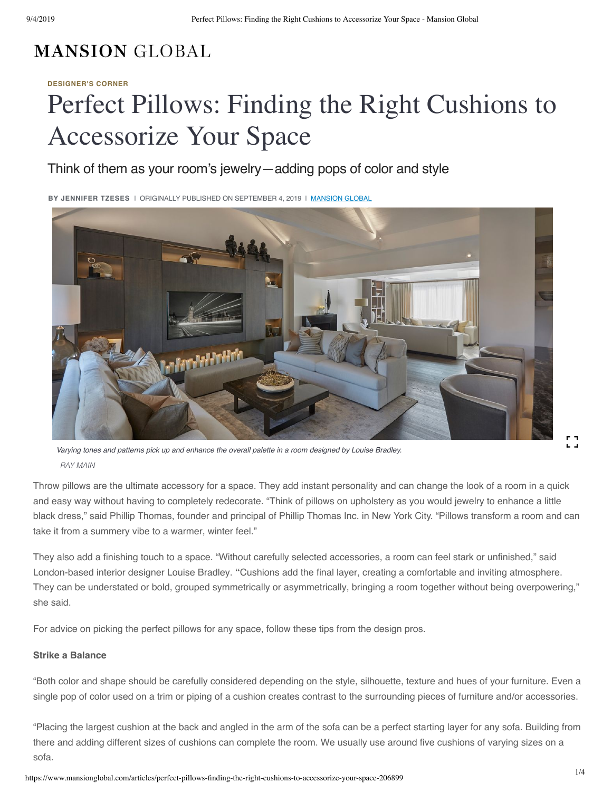## **MANSION GLOBAL**

#### **[DESIGNER'S CORNER](https://www.mansionglobal.com/luxury-real-estate-news/designers-corner)**

# Perfect Pillows: Finding the Right Cushions to Accessorize Your Space

### Think of them as your room's jewelry—addin[g pops of co](https://www.mansionglobal.com/)lor and s[tyle](mailto:?subject=Perfect%20Pillows:%20Finding%20the%20Right%20Cushions%20to%20Accessorize%20Your%20Space&body=https://www.mansionglobal.com/articles/perfect-pillows-finding-the-right-cushions-to-accessorize-your-space-206899)

**BY JENNIFER TZESES** | ORIGINALLY PUBLISHED ON SEPTEMBER 4, 2019 | MANSION GLOBAL



*Varying tones and patterns pick up and enhance the overall palette in a room designed by Louise Bradley. RAY MAIN*

Throw pillows are the ultimate accessory for a space. They add instant personality and can change the look of a room in a quick and easy way without having to completely redecorate. "Think of pillows on upholstery as you would jewelry to enhance a little black dress," said Phillip Thomas, founder and principal of Phillip Thomas Inc. in New York City. "Pillows transform a room and can take it from a summery vibe to a warmer, winter feel."

They also add a finishing touch to a space. "Without carefully selected accessories, a room can feel stark or unfinished," said London-based interior designer Louise Bradley. **"**Cushions add the final layer, creating a comfortable and inviting atmosphere. They can be understated or bold, grouped symmetrically or asymmetrically, bringing a room together without being overpowering," she said.

For advice on picking the perfect pillows for any space, follow these tips from the design pros.

#### **Strike a Balance**

"Both color and shape should be carefully considered depending on the style, silhouette, texture and hues of your furniture. Even a single pop of color used on a trim or piping of a cushion creates contrast to the surrounding pieces of furniture and/or accessories.

"Placing the largest cushion at the back and angled in the arm of the sofa can be a perfect starting layer for any sofa. Building from there and adding different sizes of cushions can complete the room. We usually use around five cushions of varying sizes on a sofa.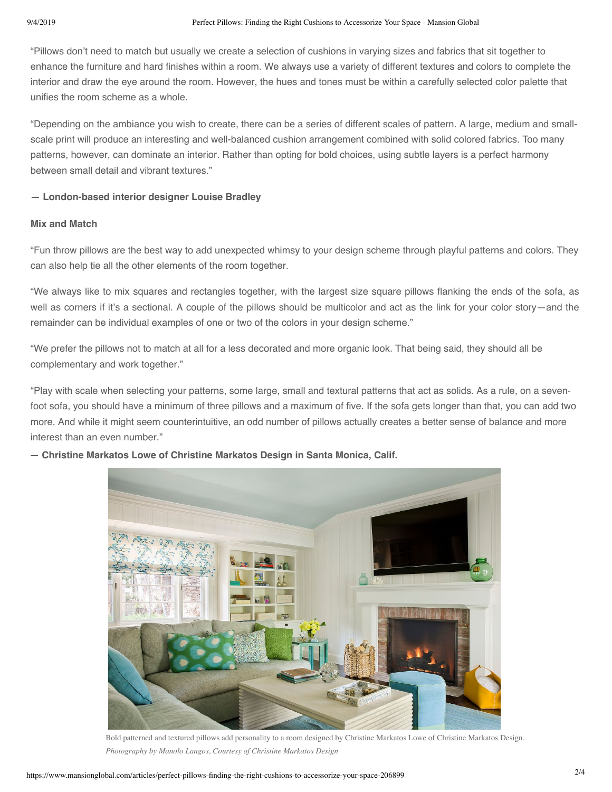"Pillows don't need to match but usually we create a selection of cushions in varying sizes and fabrics that sit together to enhance the furniture and hard finishes within a room. We always use a variety of different textures and colors to complete the interior and draw the eye around the room. However, the hues and tones must be within a carefully selected color palette that unifies the room scheme as a whole.

"Depending on the ambiance you wish to create, there can be a series of different scales of pattern. A large, medium and smallscale print will produce an interesting and well-balanced cushion arrangement combined with solid colored fabrics. Too many patterns, however, can dominate an interior. Rather than opting for bold choices, using subtle layers is a perfect harmony between small detail and vibrant textures."

#### **— London-based interior designer Louise Bradley**

#### **Mix and Match**

"Fun throw pillows are the best way to add unexpected whimsy to your design scheme through playful patterns and colors. They can also help tie all the other elements of the room together.

"We always like to mix squares and rectangles together, with the largest size square pillows flanking the ends of the sofa, as well as corners if it's a sectional. A couple of the pillows should be multicolor and act as the link for your color story—and the remainder can be individual examples of one or two of the colors in your design scheme."

"We prefer the pillows not to match at all for a less decorated and more organic look. That being said, they should all be complementary and work together."

"Play with scale when selecting your patterns, some large, small and textural patterns that act as solids. As a rule, on a sevenfoot sofa, you should have a minimum of three pillows and a maximum of five. If the sofa gets longer than that, you can add two more. And while it might seem counterintuitive, an odd number of pillows actually creates a better sense of balance and more interest than an even number."



**— Christine Markatos Lowe of Christine Markatos Design in Santa Monica, Calif.**

Bold patterned and textured pillows add personality to a room designed by Christine Markatos Lowe of Christine Markatos Design. *Photography by Manolo Langos, Courtesy of Christine Markatos Design*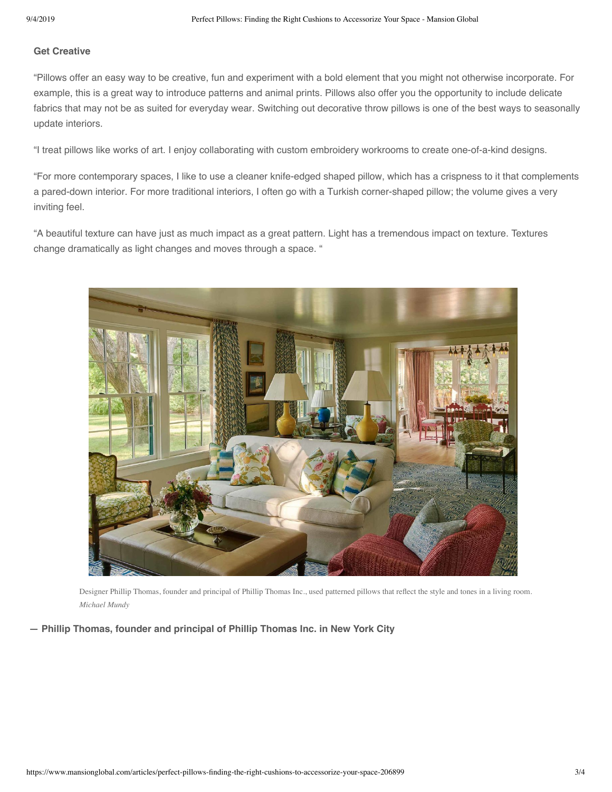#### **Get Creative**

"Pillows offer an easy way to be creative, fun and experiment with a bold element that you might not otherwise incorporate. For example, this is a great way to introduce patterns and animal prints. Pillows also offer you the opportunity to include delicate fabrics that may not be as suited for everyday wear. Switching out decorative throw pillows is one of the best ways to seasonally update interiors.

"I treat pillows like works of art. I enjoy collaborating with custom embroidery workrooms to create one-of-a-kind designs.

"For more contemporary spaces, I like to use a cleaner knife-edged shaped pillow, which has a crispness to it that complements a pared-down interior. For more traditional interiors, I often go with a Turkish corner-shaped pillow; the volume gives a very inviting feel.

"A beautiful texture can have just as much impact as a great pattern. Light has a tremendous impact on texture. Textures change dramatically as light changes and moves through a space. "



Designer Phillip Thomas, founder and principal of Phillip Thomas Inc., used patterned pillows that reflect the style and tones in a living room. *Michael Mundy*

**— Phillip Thomas, founder and principal of Phillip Thomas Inc. in New York City**